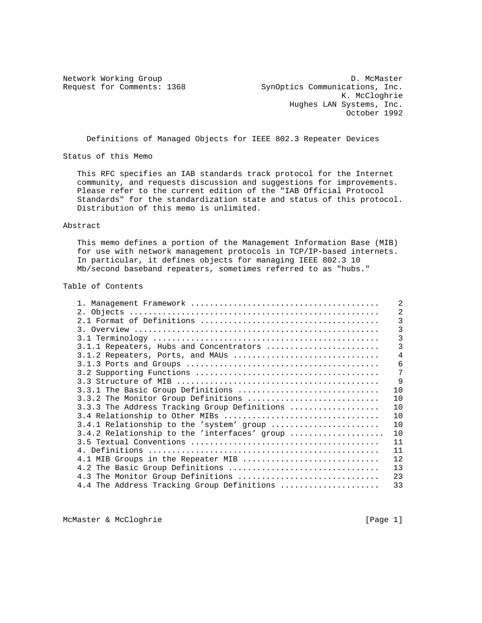Network Working Group D. McMaster Request for Comments: 1368 SynOptics Communications, Inc. K. McCloghrie Hughes LAN Systems, Inc. October 1992

Definitions of Managed Objects for IEEE 802.3 Repeater Devices

Status of this Memo

 This RFC specifies an IAB standards track protocol for the Internet community, and requests discussion and suggestions for improvements. Please refer to the current edition of the "IAB Official Protocol Standards" for the standardization state and status of this protocol. Distribution of this memo is unlimited.

# Abstract

 This memo defines a portion of the Management Information Base (MIB) for use with network management protocols in TCP/IP-based internets. In particular, it defines objects for managing IEEE 802.3 10 Mb/second baseband repeaters, sometimes referred to as "hubs."

# Table of Contents

|                                              | 2  |
|----------------------------------------------|----|
|                                              | 2  |
|                                              |    |
|                                              |    |
|                                              |    |
| 3.1.1 Repeaters, Hubs and Concentrators      | 3  |
| 3.1.2 Repeaters, Ports, and MAUs             |    |
|                                              | 6  |
|                                              | 7  |
|                                              | 9  |
| 3.3.1 The Basic Group Definitions            | 10 |
| 3.3.2 The Monitor Group Definitions          | 10 |
| 3.3.3 The Address Tracking Group Definitions | 10 |
| 3.4 Relationship to Other MIBs               | 10 |
| 3.4.1 Relationship to the 'system' group     | 10 |
| 3.4.2 Relationship to the 'interfaces' group | 10 |
|                                              | 11 |
|                                              | 11 |
| 4.1 MIB Groups in the Repeater MIB           | 12 |
| 4.2 The Basic Group Definitions              | 13 |
| 4.3 The Monitor Group Definitions            | 23 |
| 4.4 The Address Tracking Group Definitions   | 33 |

McMaster & McCloghrie **Exercise Exercise Exercise (Page 1**)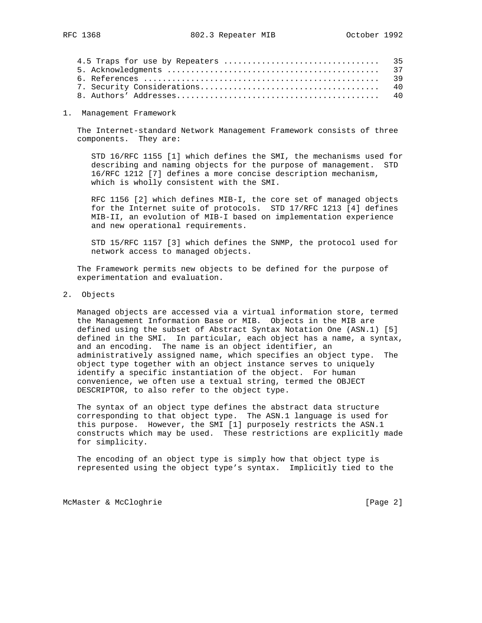1. Management Framework

 The Internet-standard Network Management Framework consists of three components. They are:

 STD 16/RFC 1155 [1] which defines the SMI, the mechanisms used for describing and naming objects for the purpose of management. STD 16/RFC 1212 [7] defines a more concise description mechanism, which is wholly consistent with the SMI.

 RFC 1156 [2] which defines MIB-I, the core set of managed objects for the Internet suite of protocols. STD 17/RFC 1213 [4] defines MIB-II, an evolution of MIB-I based on implementation experience and new operational requirements.

 STD 15/RFC 1157 [3] which defines the SNMP, the protocol used for network access to managed objects.

 The Framework permits new objects to be defined for the purpose of experimentation and evaluation.

2. Objects

 Managed objects are accessed via a virtual information store, termed the Management Information Base or MIB. Objects in the MIB are defined using the subset of Abstract Syntax Notation One (ASN.1) [5] defined in the SMI. In particular, each object has a name, a syntax, and an encoding. The name is an object identifier, an administratively assigned name, which specifies an object type. The object type together with an object instance serves to uniquely identify a specific instantiation of the object. For human convenience, we often use a textual string, termed the OBJECT DESCRIPTOR, to also refer to the object type.

 The syntax of an object type defines the abstract data structure corresponding to that object type. The ASN.1 language is used for this purpose. However, the SMI [1] purposely restricts the ASN.1 constructs which may be used. These restrictions are explicitly made for simplicity.

 The encoding of an object type is simply how that object type is represented using the object type's syntax. Implicitly tied to the

McMaster & McCloghrie **Exercise 2** and McMaster & McCloghrie **[Page 2]**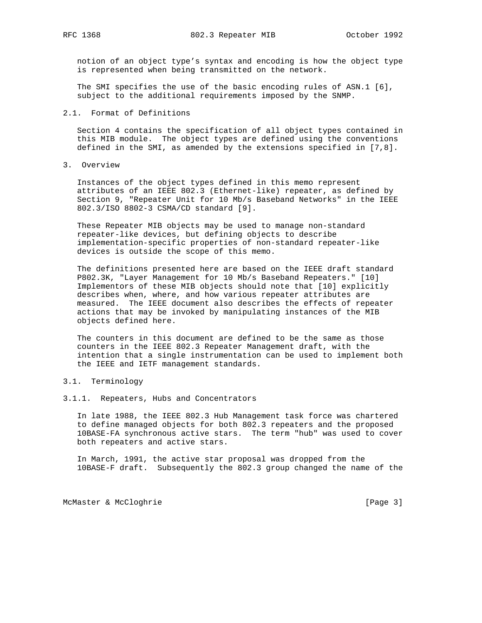notion of an object type's syntax and encoding is how the object type is represented when being transmitted on the network.

 The SMI specifies the use of the basic encoding rules of ASN.1 [6], subject to the additional requirements imposed by the SNMP.

# 2.1. Format of Definitions

 Section 4 contains the specification of all object types contained in this MIB module. The object types are defined using the conventions defined in the SMI, as amended by the extensions specified in [7,8].

### 3. Overview

 Instances of the object types defined in this memo represent attributes of an IEEE 802.3 (Ethernet-like) repeater, as defined by Section 9, "Repeater Unit for 10 Mb/s Baseband Networks" in the IEEE 802.3/ISO 8802-3 CSMA/CD standard [9].

 These Repeater MIB objects may be used to manage non-standard repeater-like devices, but defining objects to describe implementation-specific properties of non-standard repeater-like devices is outside the scope of this memo.

 The definitions presented here are based on the IEEE draft standard P802.3K, "Layer Management for 10 Mb/s Baseband Repeaters." [10] Implementors of these MIB objects should note that [10] explicitly describes when, where, and how various repeater attributes are measured. The IEEE document also describes the effects of repeater actions that may be invoked by manipulating instances of the MIB objects defined here.

 The counters in this document are defined to be the same as those counters in the IEEE 802.3 Repeater Management draft, with the intention that a single instrumentation can be used to implement both the IEEE and IETF management standards.

#### 3.1. Terminology

### 3.1.1. Repeaters, Hubs and Concentrators

 In late 1988, the IEEE 802.3 Hub Management task force was chartered to define managed objects for both 802.3 repeaters and the proposed 10BASE-FA synchronous active stars. The term "hub" was used to cover both repeaters and active stars.

 In March, 1991, the active star proposal was dropped from the 10BASE-F draft. Subsequently the 802.3 group changed the name of the

McMaster & McCloghrie **Exercise 2018** [Page 3]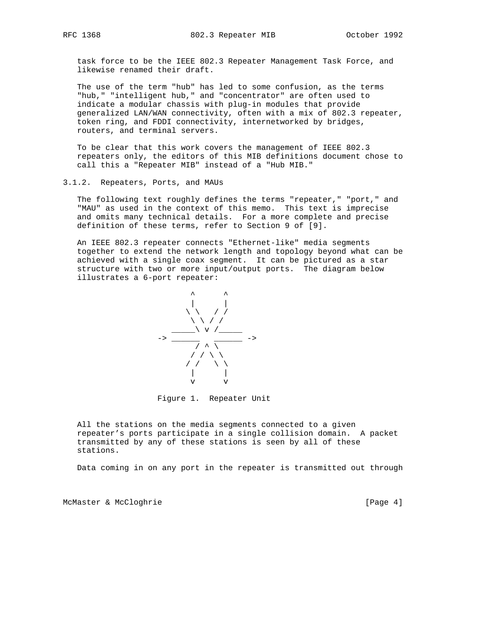task force to be the IEEE 802.3 Repeater Management Task Force, and likewise renamed their draft.

 The use of the term "hub" has led to some confusion, as the terms "hub," "intelligent hub," and "concentrator" are often used to indicate a modular chassis with plug-in modules that provide generalized LAN/WAN connectivity, often with a mix of 802.3 repeater, token ring, and FDDI connectivity, internetworked by bridges, routers, and terminal servers.

 To be clear that this work covers the management of IEEE 802.3 repeaters only, the editors of this MIB definitions document chose to call this a "Repeater MIB" instead of a "Hub MIB."

3.1.2. Repeaters, Ports, and MAUs

 The following text roughly defines the terms "repeater," "port," and "MAU" as used in the context of this memo. This text is imprecise and omits many technical details. For a more complete and precise definition of these terms, refer to Section 9 of [9].

 An IEEE 802.3 repeater connects "Ethernet-like" media segments together to extend the network length and topology beyond what can be achieved with a single coax segment. It can be pictured as a star structure with two or more input/output ports. The diagram below illustrates a 6-port repeater:



Figure 1. Repeater Unit

 All the stations on the media segments connected to a given repeater's ports participate in a single collision domain. A packet transmitted by any of these stations is seen by all of these stations.

Data coming in on any port in the repeater is transmitted out through

McMaster & McCloghrie **Exercise 2018** [Page 4]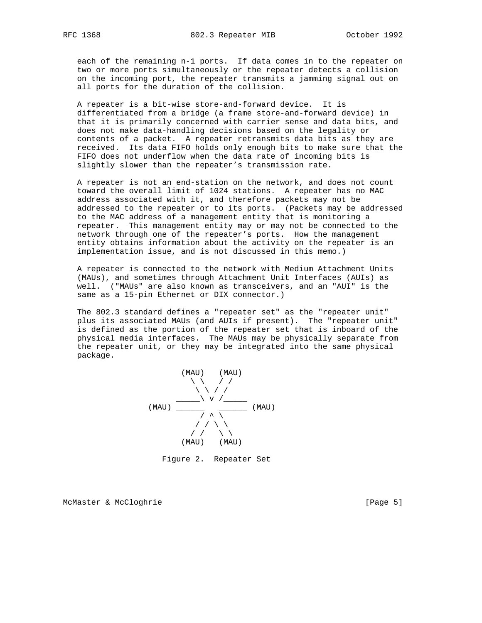each of the remaining n-1 ports. If data comes in to the repeater on two or more ports simultaneously or the repeater detects a collision on the incoming port, the repeater transmits a jamming signal out on all ports for the duration of the collision.

 A repeater is a bit-wise store-and-forward device. It is differentiated from a bridge (a frame store-and-forward device) in that it is primarily concerned with carrier sense and data bits, and does not make data-handling decisions based on the legality or contents of a packet. A repeater retransmits data bits as they are received. Its data FIFO holds only enough bits to make sure that the FIFO does not underflow when the data rate of incoming bits is slightly slower than the repeater's transmission rate.

 A repeater is not an end-station on the network, and does not count toward the overall limit of 1024 stations. A repeater has no MAC address associated with it, and therefore packets may not be addressed to the repeater or to its ports. (Packets may be addressed to the MAC address of a management entity that is monitoring a repeater. This management entity may or may not be connected to the network through one of the repeater's ports. How the management entity obtains information about the activity on the repeater is an implementation issue, and is not discussed in this memo.)

 A repeater is connected to the network with Medium Attachment Units (MAUs), and sometimes through Attachment Unit Interfaces (AUIs) as well. ("MAUs" are also known as transceivers, and an "AUI" is the same as a 15-pin Ethernet or DIX connector.)

 The 802.3 standard defines a "repeater set" as the "repeater unit" plus its associated MAUs (and AUIs if present). The "repeater unit" is defined as the portion of the repeater set that is inboard of the physical media interfaces. The MAUs may be physically separate from the repeater unit, or they may be integrated into the same physical package.



Figure 2. Repeater Set

McMaster & McCloghrie **Exercise 2018** [Page 5]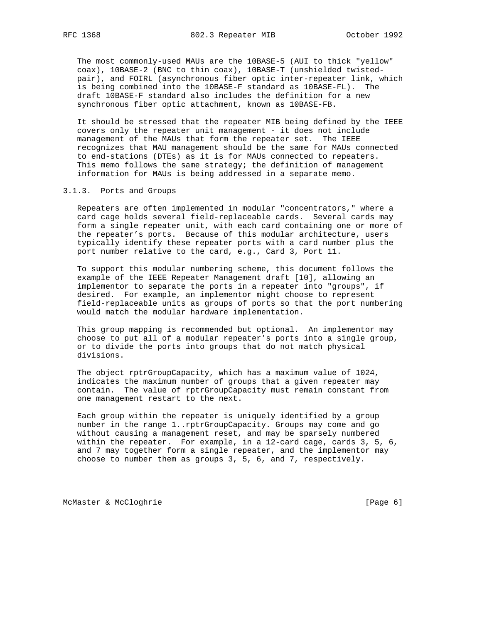The most commonly-used MAUs are the 10BASE-5 (AUI to thick "yellow" coax), 10BASE-2 (BNC to thin coax), 10BASE-T (unshielded twisted pair), and FOIRL (asynchronous fiber optic inter-repeater link, which is being combined into the 10BASE-F standard as 10BASE-FL). The draft 10BASE-F standard also includes the definition for a new synchronous fiber optic attachment, known as 10BASE-FB.

 It should be stressed that the repeater MIB being defined by the IEEE covers only the repeater unit management - it does not include management of the MAUs that form the repeater set. The IEEE recognizes that MAU management should be the same for MAUs connected to end-stations (DTEs) as it is for MAUs connected to repeaters. This memo follows the same strategy; the definition of management information for MAUs is being addressed in a separate memo.

# 3.1.3. Ports and Groups

 Repeaters are often implemented in modular "concentrators," where a card cage holds several field-replaceable cards. Several cards may form a single repeater unit, with each card containing one or more of the repeater's ports. Because of this modular architecture, users typically identify these repeater ports with a card number plus the port number relative to the card, e.g., Card 3, Port 11.

 To support this modular numbering scheme, this document follows the example of the IEEE Repeater Management draft [10], allowing an implementor to separate the ports in a repeater into "groups", if desired. For example, an implementor might choose to represent field-replaceable units as groups of ports so that the port numbering would match the modular hardware implementation.

 This group mapping is recommended but optional. An implementor may choose to put all of a modular repeater's ports into a single group, or to divide the ports into groups that do not match physical divisions.

 The object rptrGroupCapacity, which has a maximum value of 1024, indicates the maximum number of groups that a given repeater may contain. The value of rptrGroupCapacity must remain constant from one management restart to the next.

 Each group within the repeater is uniquely identified by a group number in the range 1..rptrGroupCapacity. Groups may come and go without causing a management reset, and may be sparsely numbered within the repeater. For example, in a 12-card cage, cards 3, 5, 6, and 7 may together form a single repeater, and the implementor may choose to number them as groups 3, 5, 6, and 7, respectively.

McMaster & McCloghrie **Exercise 2018** [Page 6]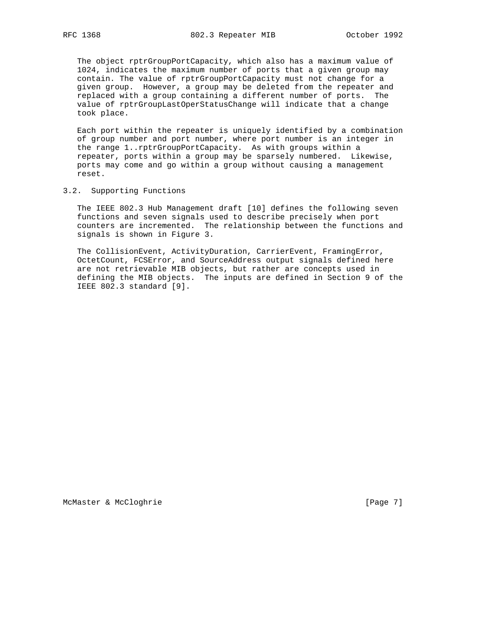The object rptrGroupPortCapacity, which also has a maximum value of 1024, indicates the maximum number of ports that a given group may contain. The value of rptrGroupPortCapacity must not change for a given group. However, a group may be deleted from the repeater and replaced with a group containing a different number of ports. The value of rptrGroupLastOperStatusChange will indicate that a change took place.

 Each port within the repeater is uniquely identified by a combination of group number and port number, where port number is an integer in the range 1..rptrGroupPortCapacity. As with groups within a repeater, ports within a group may be sparsely numbered. Likewise, ports may come and go within a group without causing a management reset.

### 3.2. Supporting Functions

 The IEEE 802.3 Hub Management draft [10] defines the following seven functions and seven signals used to describe precisely when port counters are incremented. The relationship between the functions and signals is shown in Figure 3.

 The CollisionEvent, ActivityDuration, CarrierEvent, FramingError, OctetCount, FCSError, and SourceAddress output signals defined here are not retrievable MIB objects, but rather are concepts used in defining the MIB objects. The inputs are defined in Section 9 of the IEEE 802.3 standard [9].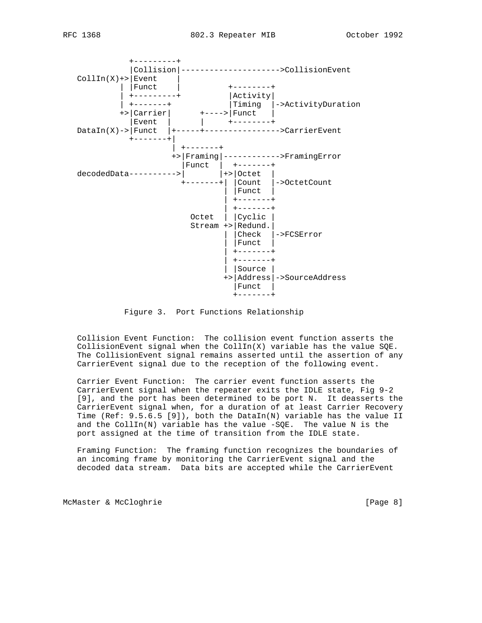

Figure 3. Port Functions Relationship

 Collision Event Function: The collision event function asserts the CollisionEvent signal when the CollIn(X) variable has the value SQE. The CollisionEvent signal remains asserted until the assertion of any CarrierEvent signal due to the reception of the following event.

 Carrier Event Function: The carrier event function asserts the CarrierEvent signal when the repeater exits the IDLE state, Fig 9-2 [9], and the port has been determined to be port N. It deasserts the CarrierEvent signal when, for a duration of at least Carrier Recovery Time (Ref:  $9.5.6.5$  [9]), both the DataIn(N) variable has the value II and the CollIn(N) variable has the value -SQE. The value N is the port assigned at the time of transition from the IDLE state.

 Framing Function: The framing function recognizes the boundaries of an incoming frame by monitoring the CarrierEvent signal and the decoded data stream. Data bits are accepted while the CarrierEvent

McMaster & McCloghrie **Exercise Exercise 2** (Page 8)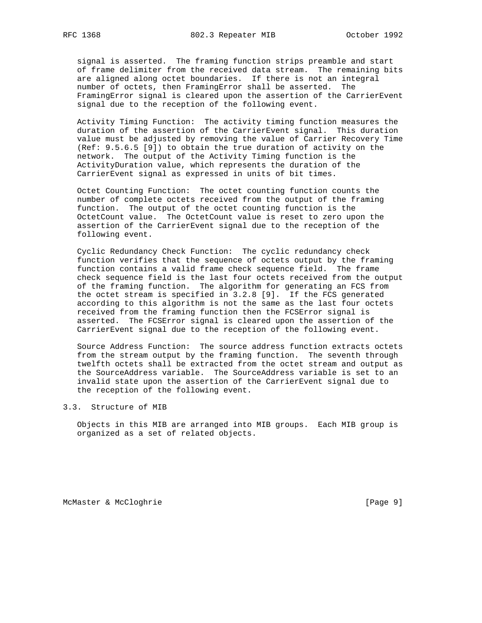signal is asserted. The framing function strips preamble and start of frame delimiter from the received data stream. The remaining bits are aligned along octet boundaries. If there is not an integral number of octets, then FramingError shall be asserted. The FramingError signal is cleared upon the assertion of the CarrierEvent signal due to the reception of the following event.

 Activity Timing Function: The activity timing function measures the duration of the assertion of the CarrierEvent signal. This duration value must be adjusted by removing the value of Carrier Recovery Time (Ref: 9.5.6.5 [9]) to obtain the true duration of activity on the network. The output of the Activity Timing function is the ActivityDuration value, which represents the duration of the CarrierEvent signal as expressed in units of bit times.

 Octet Counting Function: The octet counting function counts the number of complete octets received from the output of the framing function. The output of the octet counting function is the OctetCount value. The OctetCount value is reset to zero upon the assertion of the CarrierEvent signal due to the reception of the following event.

 Cyclic Redundancy Check Function: The cyclic redundancy check function verifies that the sequence of octets output by the framing function contains a valid frame check sequence field. The frame check sequence field is the last four octets received from the output of the framing function. The algorithm for generating an FCS from the octet stream is specified in 3.2.8 [9]. If the FCS generated according to this algorithm is not the same as the last four octets received from the framing function then the FCSError signal is asserted. The FCSError signal is cleared upon the assertion of the CarrierEvent signal due to the reception of the following event.

 Source Address Function: The source address function extracts octets from the stream output by the framing function. The seventh through twelfth octets shall be extracted from the octet stream and output as the SourceAddress variable. The SourceAddress variable is set to an invalid state upon the assertion of the CarrierEvent signal due to the reception of the following event.

### 3.3. Structure of MIB

 Objects in this MIB are arranged into MIB groups. Each MIB group is organized as a set of related objects.

McMaster & McCloghrie **Exercise 2018** [Page 9]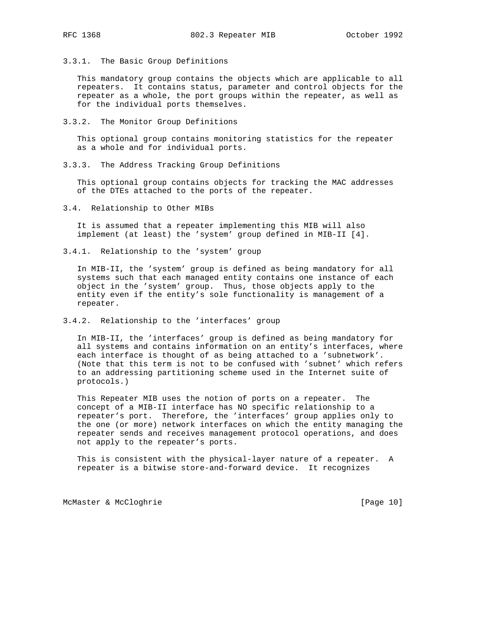3.3.1. The Basic Group Definitions

 This mandatory group contains the objects which are applicable to all repeaters. It contains status, parameter and control objects for the repeater as a whole, the port groups within the repeater, as well as for the individual ports themselves.

3.3.2. The Monitor Group Definitions

 This optional group contains monitoring statistics for the repeater as a whole and for individual ports.

3.3.3. The Address Tracking Group Definitions

 This optional group contains objects for tracking the MAC addresses of the DTEs attached to the ports of the repeater.

3.4. Relationship to Other MIBs

 It is assumed that a repeater implementing this MIB will also implement (at least) the 'system' group defined in MIB-II [4].

3.4.1. Relationship to the 'system' group

 In MIB-II, the 'system' group is defined as being mandatory for all systems such that each managed entity contains one instance of each object in the 'system' group. Thus, those objects apply to the entity even if the entity's sole functionality is management of a repeater.

3.4.2. Relationship to the 'interfaces' group

 In MIB-II, the 'interfaces' group is defined as being mandatory for all systems and contains information on an entity's interfaces, where each interface is thought of as being attached to a 'subnetwork'. (Note that this term is not to be confused with 'subnet' which refers to an addressing partitioning scheme used in the Internet suite of protocols.)

 This Repeater MIB uses the notion of ports on a repeater. The concept of a MIB-II interface has NO specific relationship to a repeater's port. Therefore, the 'interfaces' group applies only to the one (or more) network interfaces on which the entity managing the repeater sends and receives management protocol operations, and does not apply to the repeater's ports.

 This is consistent with the physical-layer nature of a repeater. A repeater is a bitwise store-and-forward device. It recognizes

McMaster & McCloghrie **bluestion and the Club** entering and the set of page 10]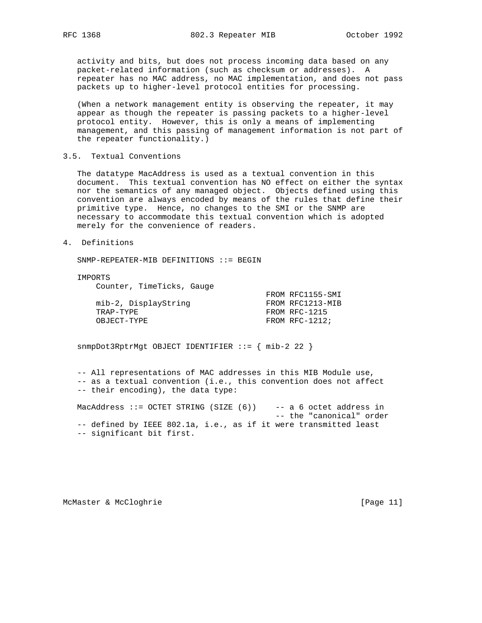activity and bits, but does not process incoming data based on any packet-related information (such as checksum or addresses). A repeater has no MAC address, no MAC implementation, and does not pass packets up to higher-level protocol entities for processing.

 (When a network management entity is observing the repeater, it may appear as though the repeater is passing packets to a higher-level protocol entity. However, this is only a means of implementing management, and this passing of management information is not part of the repeater functionality.)

# 3.5. Textual Conventions

 The datatype MacAddress is used as a textual convention in this document. This textual convention has NO effect on either the syntax nor the semantics of any managed object. Objects defined using this convention are always encoded by means of the rules that define their primitive type. Hence, no changes to the SMI or the SNMP are necessary to accommodate this textual convention which is adopted merely for the convenience of readers.

### 4. Definitions

SNMP-REPEATER-MIB DEFINITIONS ::= BEGIN

IMPORTS

Counter, TimeTicks, Gauge

|                      | FROM RFC1155-SMI |
|----------------------|------------------|
| mib-2, DisplayString | FROM RFC1213-MIB |
| TRAP-TYPE            | FROM RFC-1215    |
| OBJECT-TYPE          | FROM RFC-1212;   |
|                      |                  |

snmpDot3RptrMgt OBJECT IDENTIFIER ::= { mib-2 22 }

 -- All representations of MAC addresses in this MIB Module use, -- as a textual convention (i.e., this convention does not affect -- their encoding), the data type:

MacAddress ::= OCTET STRING (SIZE (6)) -- a 6 octet address in -- the "canonical" order -- defined by IEEE 802.1a, i.e., as if it were transmitted least -- significant bit first.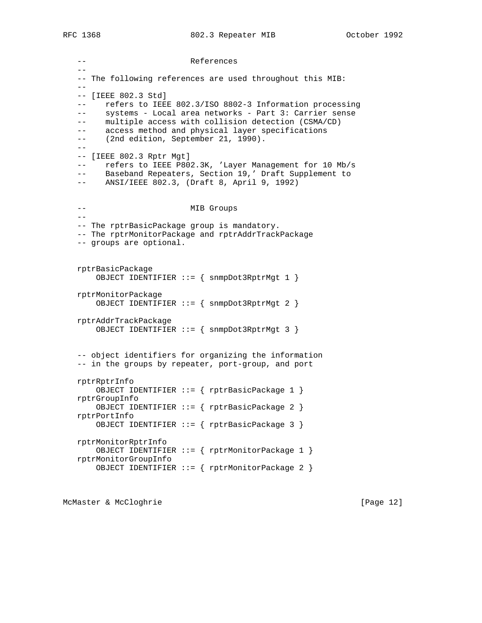RFC 1368 802.3 Repeater MIB October 1992

 -- References -- -- The following references are used throughout this MIB:  $- -$  -- [IEEE 802.3 Std] -- refers to IEEE 802.3/ISO 8802-3 Information processing -- systems - Local area networks - Part 3: Carrier sense -- multiple access with collision detection (CSMA/CD) -- access method and physical layer specifications -- (2nd edition, September 21, 1990).  $-\,-$  -- [IEEE 802.3 Rptr Mgt] -- refers to IEEE P802.3K, 'Layer Management for 10 Mb/s Baseband Repeaters, Section 19,' Draft Supplement to ANSI/IEEE 802.3, (Draft 8, April 9, 1992) -- MIB Groups  $-$  -- The rptrBasicPackage group is mandatory. -- The rptrMonitorPackage and rptrAddrTrackPackage -- groups are optional. rptrBasicPackage OBJECT IDENTIFIER ::= { snmpDot3RptrMgt 1 } rptrMonitorPackage OBJECT IDENTIFIER ::= { snmpDot3RptrMgt 2 } rptrAddrTrackPackage OBJECT IDENTIFIER ::= { snmpDot3RptrMgt 3 } -- object identifiers for organizing the information -- in the groups by repeater, port-group, and port rptrRptrInfo OBJECT IDENTIFIER ::= { rptrBasicPackage 1 } rptrGroupInfo OBJECT IDENTIFIER ::= { rptrBasicPackage 2 } rptrPortInfo OBJECT IDENTIFIER ::= { rptrBasicPackage 3 } rptrMonitorRptrInfo OBJECT IDENTIFIER ::= { rptrMonitorPackage 1 } rptrMonitorGroupInfo OBJECT IDENTIFIER ::= { rptrMonitorPackage 2 }

McMaster & McCloghrie **bluestion** [Page 12]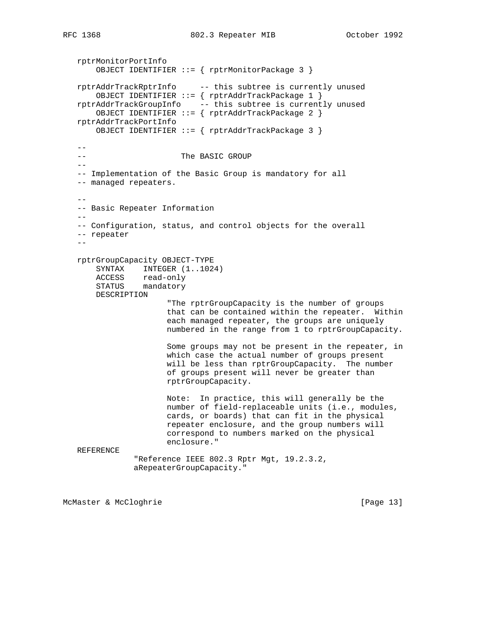rptrMonitorPortInfo OBJECT IDENTIFIER ::= { rptrMonitorPackage 3 } rptrAddrTrackRptrInfo -- this subtree is currently unused OBJECT IDENTIFIER ::= { rptrAddrTrackPackage 1 } rptrAddrTrackGroupInfo -- this subtree is currently unused OBJECT IDENTIFIER ::= { rptrAddrTrackPackage 2 } rptrAddrTrackPortInfo OBJECT IDENTIFIER ::= { rptrAddrTrackPackage 3 }  $- -$  -- The BASIC GROUP  $-$  -- Implementation of the Basic Group is mandatory for all -- managed repeaters. -- -- Basic Repeater Information  $- -$  -- Configuration, status, and control objects for the overall -- repeater - rptrGroupCapacity OBJECT-TYPE SYNTAX INTEGER (1..1024) ACCESS read-only STATUS mandatory DESCRIPTION "The rptrGroupCapacity is the number of groups that can be contained within the repeater. Within each managed repeater, the groups are uniquely numbered in the range from 1 to rptrGroupCapacity. Some groups may not be present in the repeater, in which case the actual number of groups present will be less than rptrGroupCapacity. The number of groups present will never be greater than rptrGroupCapacity. Note: In practice, this will generally be the number of field-replaceable units (i.e., modules, cards, or boards) that can fit in the physical repeater enclosure, and the group numbers will correspond to numbers marked on the physical enclosure." REFERENCE "Reference IEEE 802.3 Rptr Mgt, 19.2.3.2, aRepeaterGroupCapacity."

McMaster & McCloghrie **by Community** [Page 13]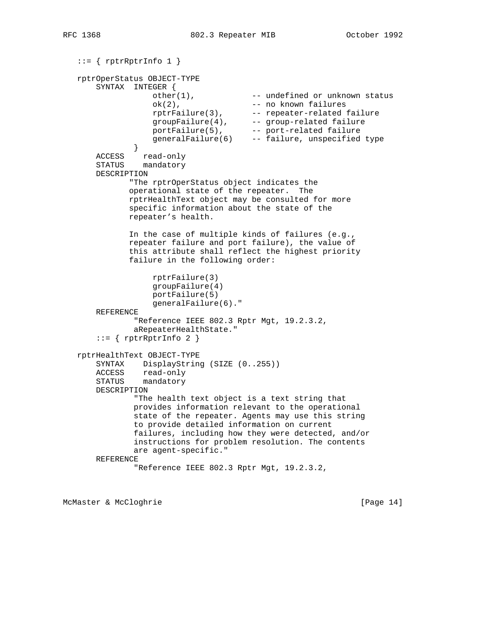```
::= { rptrRptrInfo 1 }
   rptrOperStatus OBJECT-TYPE
       SYNTAX INTEGER {
                 other(1), -- undefined or unknown status<br>ele(2)ok(2), the set of the set of the set of - no known failures
 rptrFailure(3), -- repeater-related failure
 groupFailure(4), -- group-related failure
 portFailure(5), -- port-related failure
 generalFailure(6) -- failure, unspecified type
 }
       ACCESS read-only
       STATUS mandatory
       DESCRIPTION
              "The rptrOperStatus object indicates the
              operational state of the repeater. The
              rptrHealthText object may be consulted for more
              specific information about the state of the
              repeater's health.
              In the case of multiple kinds of failures (e.g.,
              repeater failure and port failure), the value of
              this attribute shall reflect the highest priority
              failure in the following order:
                  rptrFailure(3)
                  groupFailure(4)
                  portFailure(5)
                  generalFailure(6)."
       REFERENCE
               "Reference IEEE 802.3 Rptr Mgt, 19.2.3.2,
               aRepeaterHealthState."
      ::= { rptrRptrInfo 2 }
   rptrHealthText OBJECT-TYPE
       SYNTAX DisplayString (SIZE (0..255))
       ACCESS read-only
       STATUS mandatory
       DESCRIPTION
               "The health text object is a text string that
               provides information relevant to the operational
               state of the repeater. Agents may use this string
               to provide detailed information on current
               failures, including how they were detected, and/or
               instructions for problem resolution. The contents
               are agent-specific."
       REFERENCE
               "Reference IEEE 802.3 Rptr Mgt, 19.2.3.2,
```
McMaster & McCloghrie **Exercise Exercise Exercise** [Page 14]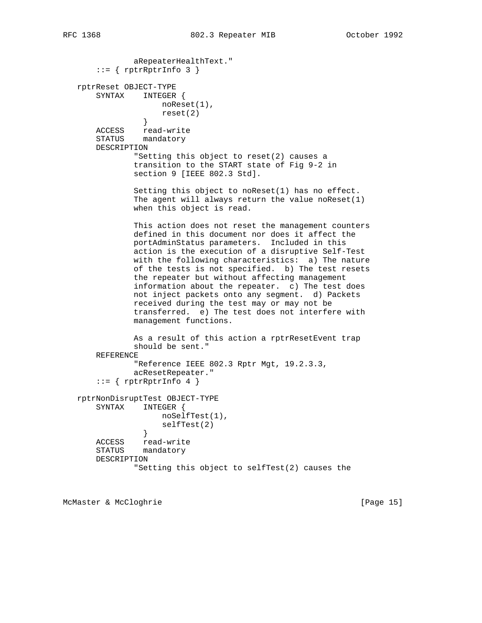aRepeaterHealthText."  $::=$  { rptrRptrInfo 3 } rptrReset OBJECT-TYPE SYNTAX INTEGER { noReset(1),  $reset(2)$  } ACCESS read-write STATUS mandatory DESCRIPTION "Setting this object to reset(2) causes a transition to the START state of Fig 9-2 in section 9 [IEEE 802.3 Std]. Setting this object to noReset(1) has no effect. The agent will always return the value noReset(1) when this object is read. This action does not reset the management counters defined in this document nor does it affect the portAdminStatus parameters. Included in this action is the execution of a disruptive Self-Test with the following characteristics: a) The nature of the tests is not specified. b) The test resets the repeater but without affecting management information about the repeater. c) The test does not inject packets onto any segment. d) Packets received during the test may or may not be transferred. e) The test does not interfere with management functions. As a result of this action a rptrResetEvent trap should be sent." REFERENCE "Reference IEEE 802.3 Rptr Mgt, 19.2.3.3, acResetRepeater."  $::=$  { rptrRptrInfo 4 } rptrNonDisruptTest OBJECT-TYPE SYNTAX INTEGER { noSelfTest(1), selfTest(2)<br>} } ACCESS read-write STATUS mandatory DESCRIPTION "Setting this object to selfTest(2) causes the

McMaster & McCloghrie **Exercise Exercise Exercise** [Page 15]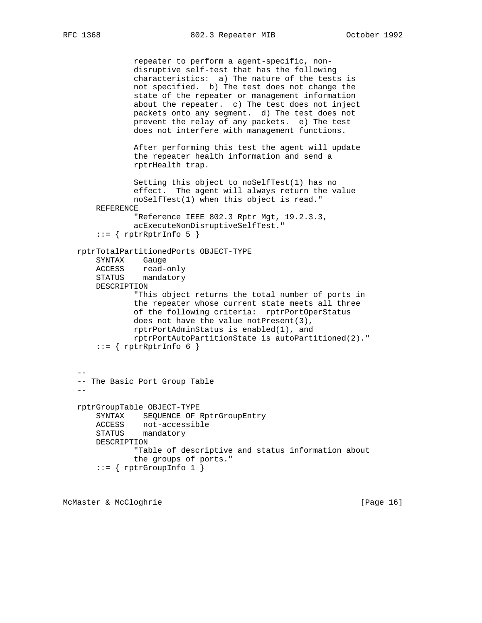```
 repeater to perform a agent-specific, non-
               disruptive self-test that has the following
               characteristics: a) The nature of the tests is
               not specified. b) The test does not change the
                state of the repeater or management information
                about the repeater. c) The test does not inject
               packets onto any segment. d) The test does not
               prevent the relay of any packets. e) The test
               does not interfere with management functions.
               After performing this test the agent will update
                the repeater health information and send a
               rptrHealth trap.
               Setting this object to noSelfTest(1) has no
               effect. The agent will always return the value
               noSelfTest(1) when this object is read."
       REFERENCE
               "Reference IEEE 802.3 Rptr Mgt, 19.2.3.3,
               acExecuteNonDisruptiveSelfTest."
       ::= { rptrRptrInfo 5 }
   rptrTotalPartitionedPorts OBJECT-TYPE
       SYNTAX Gauge
       ACCESS read-only
       STATUS mandatory
       DESCRIPTION
                "This object returns the total number of ports in
                the repeater whose current state meets all three
               of the following criteria: rptrPortOperStatus
               does not have the value notPresent(3),
               rptrPortAdminStatus is enabled(1), and
               rptrPortAutoPartitionState is autoPartitioned(2)."
       ::= { rptrRptrInfo 6 }
 --
   -- The Basic Port Group Table
- rptrGroupTable OBJECT-TYPE
       SYNTAX SEQUENCE OF RptrGroupEntry
       ACCESS not-accessible
       STATUS mandatory
       DESCRIPTION
                "Table of descriptive and status information about
                the groups of ports."
      ::= { rptrGroupInfo 1 }
```
McMaster & McCloghrie **by Community** [Page 16]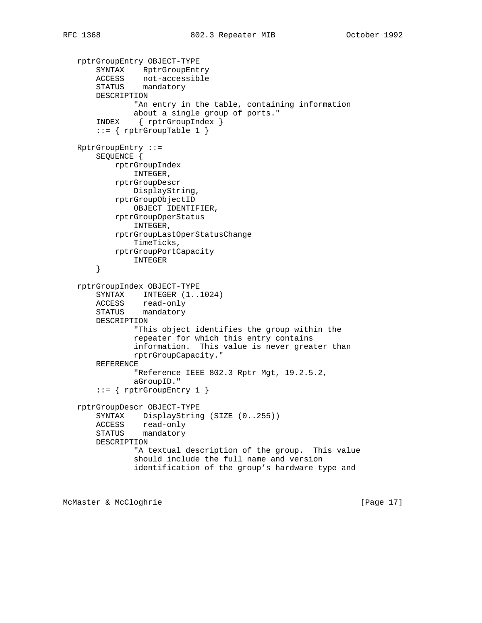```
 rptrGroupEntry OBJECT-TYPE
 SYNTAX RptrGroupEntry
 ACCESS not-accessible
 STATUS mandatory
       DESCRIPTION
               "An entry in the table, containing information
               about a single group of ports."
       INDEX { rptrGroupIndex }
      ::= { rptrGroupTable 1 }
   RptrGroupEntry ::=
       SEQUENCE {
           rptrGroupIndex
               INTEGER,
           rptrGroupDescr
               DisplayString,
           rptrGroupObjectID
               OBJECT IDENTIFIER,
           rptrGroupOperStatus
               INTEGER,
           rptrGroupLastOperStatusChange
               TimeTicks,
           rptrGroupPortCapacity
               INTEGER
       }
   rptrGroupIndex OBJECT-TYPE
       SYNTAX INTEGER (1..1024)
       ACCESS read-only
       STATUS mandatory
       DESCRIPTION
               "This object identifies the group within the
               repeater for which this entry contains
               information. This value is never greater than
               rptrGroupCapacity."
       REFERENCE
               "Reference IEEE 802.3 Rptr Mgt, 19.2.5.2,
               aGroupID."
      ::= { rptrGroupEntry 1 }
   rptrGroupDescr OBJECT-TYPE
       SYNTAX DisplayString (SIZE (0..255))
       ACCESS read-only
       STATUS mandatory
       DESCRIPTION
                "A textual description of the group. This value
               should include the full name and version
               identification of the group's hardware type and
```
McMaster & McCloghrie **Exercise 2018** [Page 17]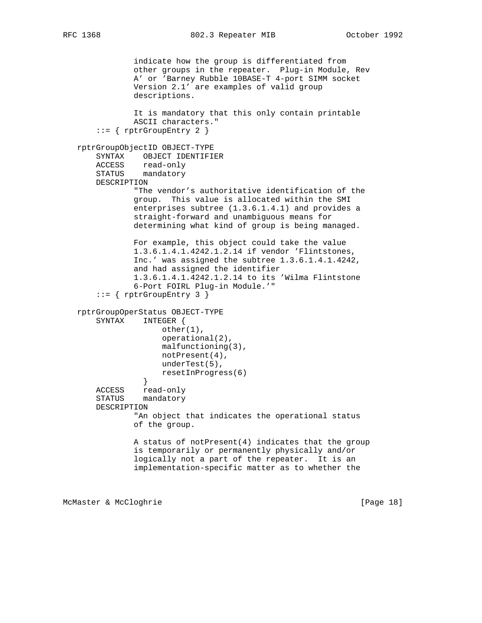```
 indicate how the group is differentiated from
 other groups in the repeater. Plug-in Module, Rev
 A' or 'Barney Rubble 10BASE-T 4-port SIMM socket
               Version 2.1' are examples of valid group
               descriptions.
               It is mandatory that this only contain printable
               ASCII characters."
      ::= { rptrGroupEntry 2 }
   rptrGroupObjectID OBJECT-TYPE
       SYNTAX OBJECT IDENTIFIER
       ACCESS read-only
       STATUS mandatory
       DESCRIPTION
               "The vendor's authoritative identification of the
               group. This value is allocated within the SMI
               enterprises subtree (1.3.6.1.4.1) and provides a
               straight-forward and unambiguous means for
               determining what kind of group is being managed.
               For example, this object could take the value
               1.3.6.1.4.1.4242.1.2.14 if vendor 'Flintstones,
               Inc.' was assigned the subtree 1.3.6.1.4.1.4242,
               and had assigned the identifier
               1.3.6.1.4.1.4242.1.2.14 to its 'Wilma Flintstone
               6-Port FOIRL Plug-in Module.'"
      ::= { rptrGroupEntry 3 }
   rptrGroupOperStatus OBJECT-TYPE
               INTEGER {
                    other(1),
                     operational(2),
                     malfunctioning(3),
                     notPresent(4),
                     underTest(5),
                     resetInProgress(6)
 }
       ACCESS read-only
       STATUS mandatory
       DESCRIPTION
               "An object that indicates the operational status
               of the group.
               A status of notPresent(4) indicates that the group
               is temporarily or permanently physically and/or
               logically not a part of the repeater. It is an
               implementation-specific matter as to whether the
```
McMaster & McCloghrie **by Community** [Page 18]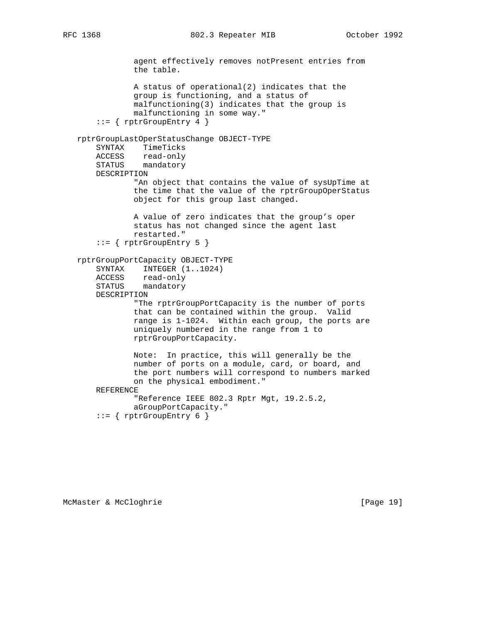agent effectively removes notPresent entries from the table. A status of operational(2) indicates that the group is functioning, and a status of malfunctioning(3) indicates that the group is malfunctioning in some way."  $::=$  { rptrGroupEntry 4 } rptrGroupLastOperStatusChange OBJECT-TYPE SYNTAX TimeTicks ACCESS read-only STATUS mandatory DESCRIPTION "An object that contains the value of sysUpTime at the time that the value of the rptrGroupOperStatus object for this group last changed. A value of zero indicates that the group's oper status has not changed since the agent last restarted." ::= { rptrGroupEntry 5 } rptrGroupPortCapacity OBJECT-TYPE SYNTAX INTEGER (1..1024) ACCESS read-only STATUS mandatory DESCRIPTION "The rptrGroupPortCapacity is the number of ports that can be contained within the group. Valid range is 1-1024. Within each group, the ports are uniquely numbered in the range from 1 to rptrGroupPortCapacity. Note: In practice, this will generally be the number of ports on a module, card, or board, and the port numbers will correspond to numbers marked on the physical embodiment." REFERENCE "Reference IEEE 802.3 Rptr Mgt, 19.2.5.2, aGroupPortCapacity."  $::=$  { rptrGroupEntry 6 }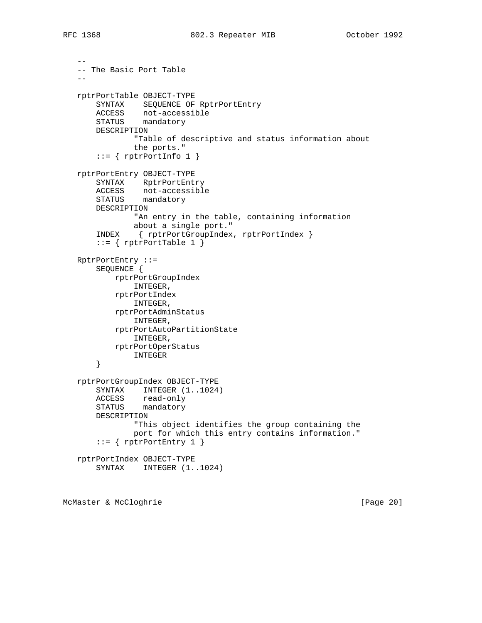```
 --
   -- The Basic Port Table
- rptrPortTable OBJECT-TYPE
       SYNTAX SEQUENCE OF RptrPortEntry
       ACCESS not-accessible
       STATUS mandatory
       DESCRIPTION
               "Table of descriptive and status information about
               the ports."
      ::= { rptrPortInfo 1 }
   rptrPortEntry OBJECT-TYPE
       SYNTAX RptrPortEntry
 ACCESS not-accessible
 STATUS mandatory
       DESCRIPTION
               "An entry in the table, containing information
               about a single port."
       INDEX { rptrPortGroupIndex, rptrPortIndex }
      ::= { rptrPortTable 1 }
   RptrPortEntry ::=
       SEQUENCE {
           rptrPortGroupIndex
               INTEGER,
           rptrPortIndex
               INTEGER,
           rptrPortAdminStatus
               INTEGER,
           rptrPortAutoPartitionState
               INTEGER,
           rptrPortOperStatus
               INTEGER
       }
   rptrPortGroupIndex OBJECT-TYPE
       SYNTAX INTEGER (1..1024)
       ACCESS read-only
       STATUS mandatory
       DESCRIPTION
               "This object identifies the group containing the
               port for which this entry contains information."
      ::= { rptrPortEntry 1 }
   rptrPortIndex OBJECT-TYPE
       SYNTAX INTEGER (1..1024)
```
McMaster & McCloghrie **by Community** [Page 20]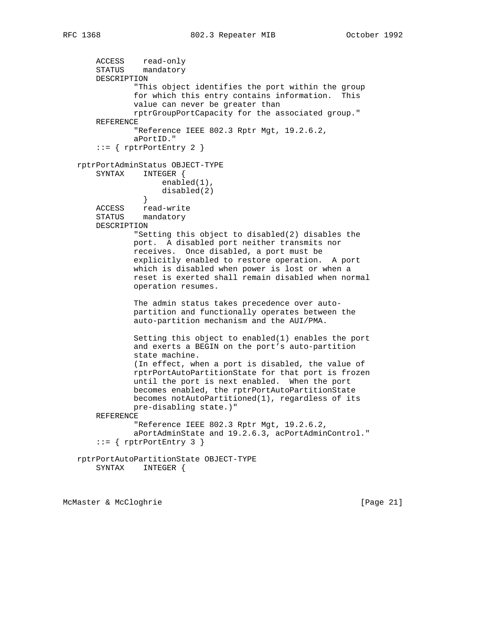```
 ACCESS read-only
       STATUS mandatory
       DESCRIPTION
                "This object identifies the port within the group
                for which this entry contains information. This
               value can never be greater than
               rptrGroupPortCapacity for the associated group."
       REFERENCE
                "Reference IEEE 802.3 Rptr Mgt, 19.2.6.2,
               aPortID."
       ::= { rptrPortEntry 2 }
   rptrPortAdminStatus OBJECT-TYPE
       SYNTAX INTEGER {
                     enabled(1),
                     disabled(2)
 }
       ACCESS read-write
       STATUS mandatory
       DESCRIPTION
                "Setting this object to disabled(2) disables the
               port. A disabled port neither transmits nor
               receives. Once disabled, a port must be
               explicitly enabled to restore operation. A port
               which is disabled when power is lost or when a
               reset is exerted shall remain disabled when normal
               operation resumes.
               The admin status takes precedence over auto-
               partition and functionally operates between the
                auto-partition mechanism and the AUI/PMA.
               Setting this object to enabled(1) enables the port
               and exerts a BEGIN on the port's auto-partition
               state machine.
               (In effect, when a port is disabled, the value of
               rptrPortAutoPartitionState for that port is frozen
                until the port is next enabled. When the port
               becomes enabled, the rptrPortAutoPartitionState
               becomes notAutoPartitioned(1), regardless of its
               pre-disabling state.)"
       REFERENCE
               "Reference IEEE 802.3 Rptr Mgt, 19.2.6.2,
                aPortAdminState and 19.2.6.3, acPortAdminControl."
       ::= { rptrPortEntry 3 }
   rptrPortAutoPartitionState OBJECT-TYPE
       SYNTAX INTEGER {
```
McMaster & McCloghrie **Exercise Exercise Exercise** [Page 21]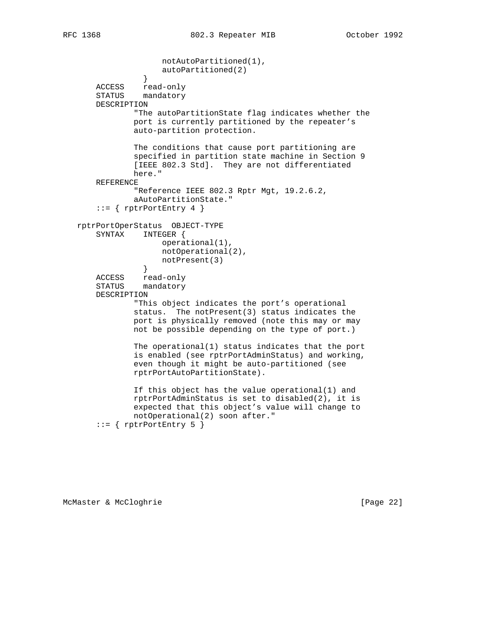```
 notAutoPartitioned(1),
                autoPartitioned(2)<br>}
 }
 ACCESS read-only
 STATUS mandatory
       DESCRIPTION
               "The autoPartitionState flag indicates whether the
               port is currently partitioned by the repeater's
               auto-partition protection.
               The conditions that cause port partitioning are
               specified in partition state machine in Section 9
               [IEEE 802.3 Std]. They are not differentiated
               here."
       REFERENCE
               "Reference IEEE 802.3 Rptr Mgt, 19.2.6.2,
               aAutoPartitionState."
      ::= { rptrPortEntry 4 }
   rptrPortOperStatus OBJECT-TYPE
       SYNTAX INTEGER {
                     operational(1),
                     notOperational(2),
                notPresent(3)<br>}
 }
       ACCESS read-only
       STATUS mandatory
       DESCRIPTION
               "This object indicates the port's operational
               status. The notPresent(3) status indicates the
               port is physically removed (note this may or may
               not be possible depending on the type of port.)
               The operational(1) status indicates that the port
               is enabled (see rptrPortAdminStatus) and working,
               even though it might be auto-partitioned (see
               rptrPortAutoPartitionState).
               If this object has the value operational(1) and
               rptrPortAdminStatus is set to disabled(2), it is
               expected that this object's value will change to
               notOperational(2) soon after."
       ::= { rptrPortEntry 5 }
```
McMaster & McCloghrie **bluestion and the Club** entering of the set of  $[Page 22]$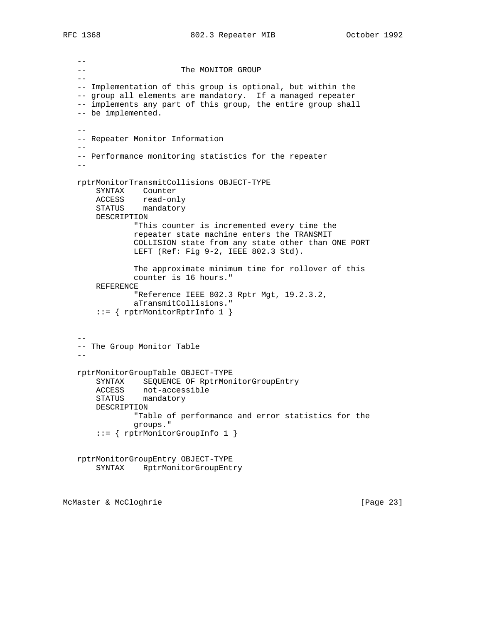$-$  -- The MONITOR GROUP  $-$  -- Implementation of this group is optional, but within the -- group all elements are mandatory. If a managed repeater -- implements any part of this group, the entire group shall -- be implemented.  $-$  -- Repeater Monitor Information  $-$  -- Performance monitoring statistics for the repeater  $$  rptrMonitorTransmitCollisions OBJECT-TYPE SYNTAX Counter ACCESS read-only STATUS mandatory DESCRIPTION "This counter is incremented every time the repeater state machine enters the TRANSMIT COLLISION state from any state other than ONE PORT LEFT (Ref: Fig 9-2, IEEE 802.3 Std). The approximate minimum time for rollover of this counter is 16 hours." REFERENCE "Reference IEEE 802.3 Rptr Mgt, 19.2.3.2, aTransmitCollisions." ::= { rptrMonitorRptrInfo 1 }  $-$  -- The Group Monitor Table - rptrMonitorGroupTable OBJECT-TYPE SYNTAX SEQUENCE OF RptrMonitorGroupEntry ACCESS not-accessible STATUS mandatory DESCRIPTION "Table of performance and error statistics for the groups." ::= { rptrMonitorGroupInfo 1 } rptrMonitorGroupEntry OBJECT-TYPE SYNTAX RptrMonitorGroupEntry

McMaster & McCloghrie **[Page 23]**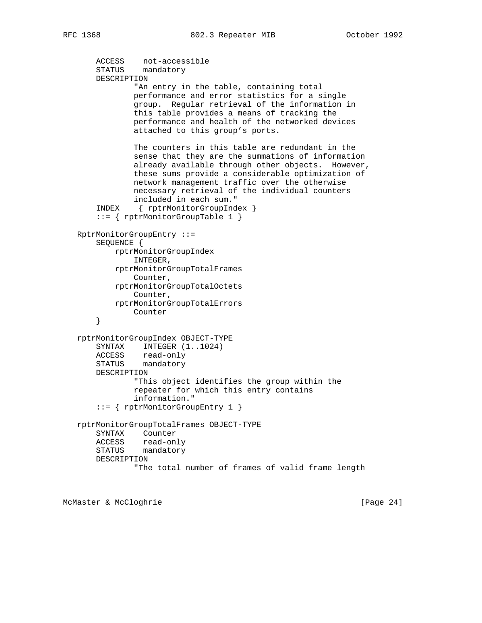```
 ACCESS not-accessible
     STATUS mandatory
    DESCRIPTION
             "An entry in the table, containing total
             performance and error statistics for a single
             group. Regular retrieval of the information in
             this table provides a means of tracking the
             performance and health of the networked devices
             attached to this group's ports.
             The counters in this table are redundant in the
             sense that they are the summations of information
             already available through other objects. However,
             these sums provide a considerable optimization of
             network management traffic over the otherwise
             necessary retrieval of the individual counters
             included in each sum."
     INDEX { rptrMonitorGroupIndex }
     ::= { rptrMonitorGroupTable 1 }
 RptrMonitorGroupEntry ::=
    SEQUENCE {
        rptrMonitorGroupIndex
             INTEGER,
         rptrMonitorGroupTotalFrames
             Counter,
         rptrMonitorGroupTotalOctets
             Counter,
        rptrMonitorGroupTotalErrors
            Counter
     }
 rptrMonitorGroupIndex OBJECT-TYPE
    SYNTAX INTEGER (1..1024)
    ACCESS read-only
    STATUS mandatory
    DESCRIPTION
             "This object identifies the group within the
             repeater for which this entry contains
             information."
     ::= { rptrMonitorGroupEntry 1 }
 rptrMonitorGroupTotalFrames OBJECT-TYPE
    SYNTAX Counter
    ACCESS read-only
    STATUS mandatory
    DESCRIPTION
             "The total number of frames of valid frame length
```
McMaster & McCloghrie **Exercise 24** and McMaster & McCloghrie **[Page 24]**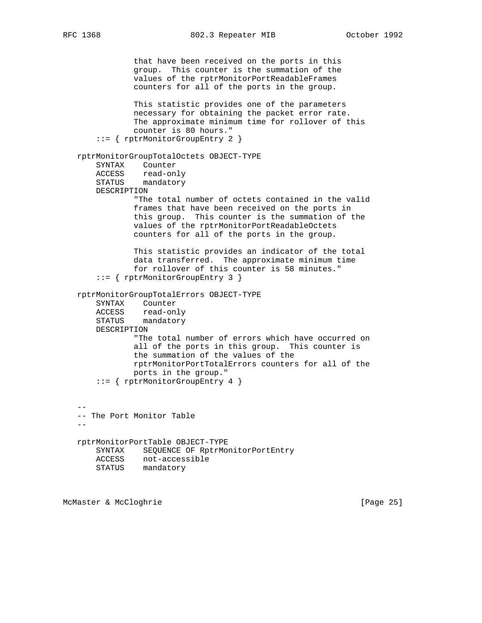```
 that have been received on the ports in this
               group. This counter is the summation of the
               values of the rptrMonitorPortReadableFrames
               counters for all of the ports in the group.
               This statistic provides one of the parameters
               necessary for obtaining the packet error rate.
               The approximate minimum time for rollover of this
               counter is 80 hours."
       ::= { rptrMonitorGroupEntry 2 }
   rptrMonitorGroupTotalOctets OBJECT-TYPE
       SYNTAX Counter
 ACCESS read-only
 STATUS mandatory
       DESCRIPTION
               "The total number of octets contained in the valid
               frames that have been received on the ports in
               this group. This counter is the summation of the
               values of the rptrMonitorPortReadableOctets
               counters for all of the ports in the group.
               This statistic provides an indicator of the total
               data transferred. The approximate minimum time
               for rollover of this counter is 58 minutes."
       ::= { rptrMonitorGroupEntry 3 }
   rptrMonitorGroupTotalErrors OBJECT-TYPE
       SYNTAX Counter
       ACCESS read-only
       STATUS mandatory
       DESCRIPTION
               "The total number of errors which have occurred on
               all of the ports in this group. This counter is
               the summation of the values of the
               rptrMonitorPortTotalErrors counters for all of the
               ports in the group."
       ::= { rptrMonitorGroupEntry 4 }
 --
   -- The Port Monitor Table
 --
   rptrMonitorPortTable OBJECT-TYPE
       SYNTAX SEQUENCE OF RptrMonitorPortEntry
       ACCESS not-accessible
       STATUS mandatory
```
McMaster & McCloghrie **bluestion (Except 1998)** [Page 25]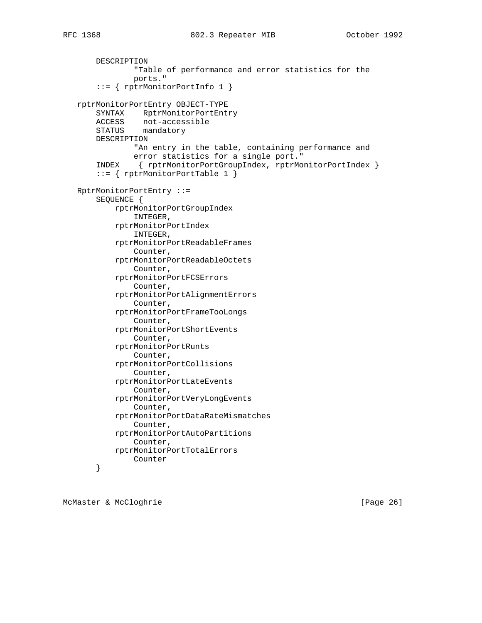```
 DESCRIPTION
             "Table of performance and error statistics for the
             ports."
     ::= { rptrMonitorPortInfo 1 }
 rptrMonitorPortEntry OBJECT-TYPE
     SYNTAX RptrMonitorPortEntry
     ACCESS not-accessible
     STATUS mandatory
     DESCRIPTION
             "An entry in the table, containing performance and
             error statistics for a single port."
     INDEX { rptrMonitorPortGroupIndex, rptrMonitorPortIndex }
     ::= { rptrMonitorPortTable 1 }
 RptrMonitorPortEntry ::=
     SEQUENCE {
         rptrMonitorPortGroupIndex
             INTEGER,
         rptrMonitorPortIndex
             INTEGER,
         rptrMonitorPortReadableFrames
             Counter,
         rptrMonitorPortReadableOctets
             Counter,
         rptrMonitorPortFCSErrors
             Counter,
         rptrMonitorPortAlignmentErrors
             Counter,
         rptrMonitorPortFrameTooLongs
             Counter,
         rptrMonitorPortShortEvents
             Counter,
         rptrMonitorPortRunts
             Counter,
         rptrMonitorPortCollisions
             Counter,
         rptrMonitorPortLateEvents
             Counter,
         rptrMonitorPortVeryLongEvents
             Counter,
         rptrMonitorPortDataRateMismatches
             Counter,
         rptrMonitorPortAutoPartitions
             Counter,
         rptrMonitorPortTotalErrors
             Counter
     }
```
McMaster & McCloghrie **bluestion and McMaster & McCloghrie** (Page 26)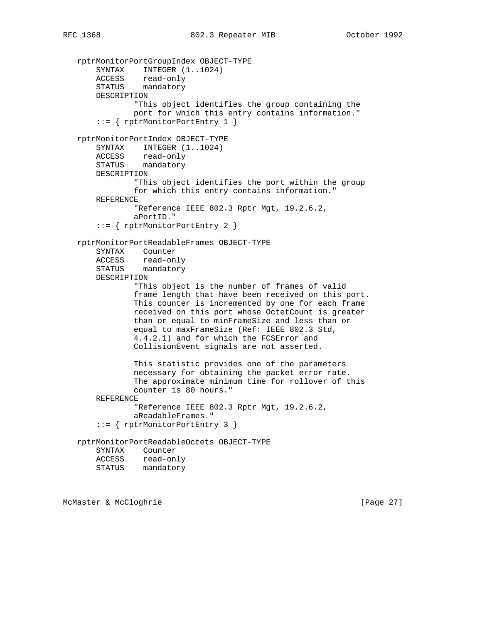```
 rptrMonitorPortGroupIndex OBJECT-TYPE
       SYNTAX INTEGER (1..1024)
 ACCESS read-only
 STATUS mandatory
       DESCRIPTION
               "This object identifies the group containing the
               port for which this entry contains information."
        ::= { rptrMonitorPortEntry 1 }
   rptrMonitorPortIndex OBJECT-TYPE
       SYNTAX INTEGER (1..1024)
       ACCESS read-only
       STATUS mandatory
       DESCRIPTION
               "This object identifies the port within the group
               for which this entry contains information."
       REFERENCE
               "Reference IEEE 802.3 Rptr Mgt, 19.2.6.2,
               aPortID."
        ::= { rptrMonitorPortEntry 2 }
   rptrMonitorPortReadableFrames OBJECT-TYPE
       SYNTAX Counter
       ACCESS read-only
       STATUS mandatory
       DESCRIPTION
                "This object is the number of frames of valid
               frame length that have been received on this port.
               This counter is incremented by one for each frame
               received on this port whose OctetCount is greater
               than or equal to minFrameSize and less than or
               equal to maxFrameSize (Ref: IEEE 802.3 Std,
               4.4.2.1) and for which the FCSError and
               CollisionEvent signals are not asserted.
               This statistic provides one of the parameters
               necessary for obtaining the packet error rate.
               The approximate minimum time for rollover of this
               counter is 80 hours."
       REFERENCE
               "Reference IEEE 802.3 Rptr Mgt, 19.2.6.2,
               aReadableFrames."
        ::= { rptrMonitorPortEntry 3 }
   rptrMonitorPortReadableOctets OBJECT-TYPE
       SYNTAX Counter
       ACCESS read-only
       STATUS mandatory
```
McMaster & McCloghrie **Exercise 27** and McMaster & McCloghrie **[Page 27]**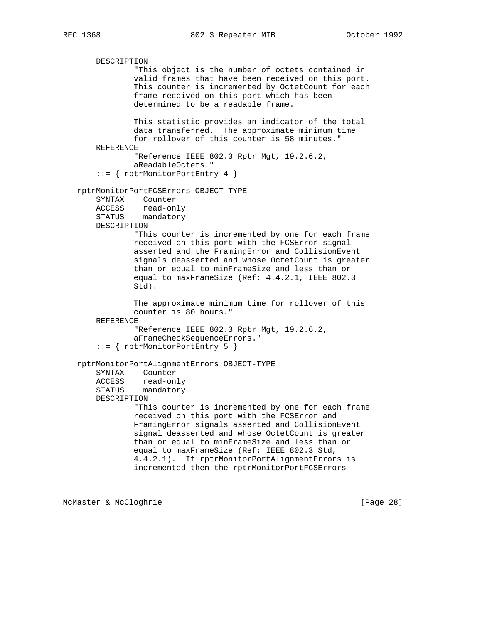DESCRIPTION "This object is the number of octets contained in valid frames that have been received on this port. This counter is incremented by OctetCount for each frame received on this port which has been determined to be a readable frame. This statistic provides an indicator of the total data transferred. The approximate minimum time for rollover of this counter is 58 minutes." REFERENCE "Reference IEEE 802.3 Rptr Mgt, 19.2.6.2, aReadableOctets." ::= { rptrMonitorPortEntry 4 } rptrMonitorPortFCSErrors OBJECT-TYPE SYNTAX Counter ACCESS read-only STATUS mandatory DESCRIPTION "This counter is incremented by one for each frame received on this port with the FCSError signal asserted and the FramingError and CollisionEvent signals deasserted and whose OctetCount is greater than or equal to minFrameSize and less than or equal to maxFrameSize (Ref: 4.4.2.1, IEEE 802.3 Std). The approximate minimum time for rollover of this counter is 80 hours." REFERENCE "Reference IEEE 802.3 Rptr Mgt, 19.2.6.2, aFrameCheckSequenceErrors." ::= { rptrMonitorPortEntry 5 } rptrMonitorPortAlignmentErrors OBJECT-TYPE SYNTAX Counter ACCESS read-only STATUS mandatory DESCRIPTION "This counter is incremented by one for each frame received on this port with the FCSError and FramingError signals asserted and CollisionEvent signal deasserted and whose OctetCount is greater than or equal to minFrameSize and less than or equal to maxFrameSize (Ref: IEEE 802.3 Std, 4.4.2.1). If rptrMonitorPortAlignmentErrors is incremented then the rptrMonitorPortFCSErrors

McMaster & McCloghrie **Exercise 28** and McMaster & McCloghrie **[Page 28]**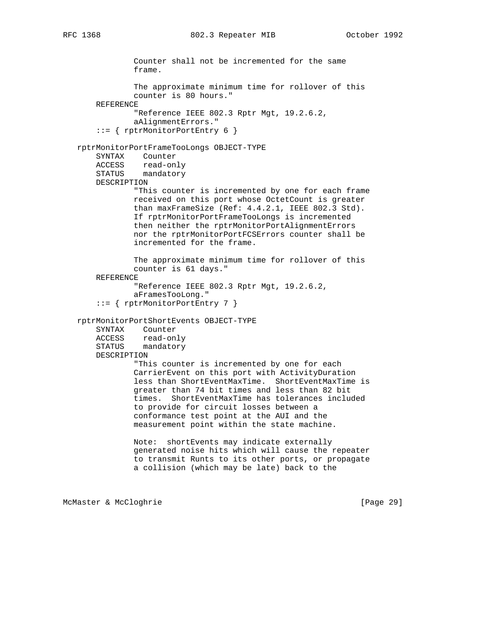```
 Counter shall not be incremented for the same
             frame.
             The approximate minimum time for rollover of this
             counter is 80 hours."
    REFERENCE
             "Reference IEEE 802.3 Rptr Mgt, 19.2.6.2,
             aAlignmentErrors."
     ::= { rptrMonitorPortEntry 6 }
 rptrMonitorPortFrameTooLongs OBJECT-TYPE
    SYNTAX Counter
    ACCESS read-only
     STATUS mandatory
    DESCRIPTION
             "This counter is incremented by one for each frame
             received on this port whose OctetCount is greater
             than maxFrameSize (Ref: 4.4.2.1, IEEE 802.3 Std).
             If rptrMonitorPortFrameTooLongs is incremented
             then neither the rptrMonitorPortAlignmentErrors
             nor the rptrMonitorPortFCSErrors counter shall be
             incremented for the frame.
             The approximate minimum time for rollover of this
             counter is 61 days."
     REFERENCE
             "Reference IEEE 802.3 Rptr Mgt, 19.2.6.2,
             aFramesTooLong."
     ::= { rptrMonitorPortEntry 7 }
 rptrMonitorPortShortEvents OBJECT-TYPE
    SYNTAX Counter
    ACCESS read-only
    STATUS mandatory
    DESCRIPTION
             "This counter is incremented by one for each
             CarrierEvent on this port with ActivityDuration
             less than ShortEventMaxTime. ShortEventMaxTime is
             greater than 74 bit times and less than 82 bit
             times. ShortEventMaxTime has tolerances included
             to provide for circuit losses between a
             conformance test point at the AUI and the
             measurement point within the state machine.
             Note: shortEvents may indicate externally
             generated noise hits which will cause the repeater
             to transmit Runts to its other ports, or propagate
             a collision (which may be late) back to the
```
McMaster & McCloghrie **Exercise 2018** [Page 29]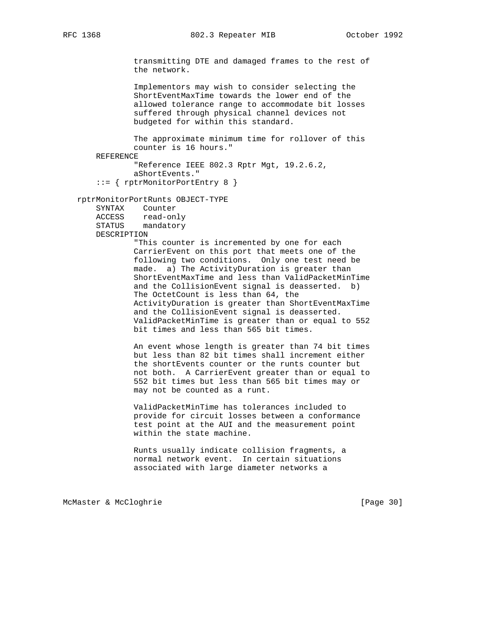transmitting DTE and damaged frames to the rest of the network.

 Implementors may wish to consider selecting the ShortEventMaxTime towards the lower end of the allowed tolerance range to accommodate bit losses suffered through physical channel devices not budgeted for within this standard.

 The approximate minimum time for rollover of this counter is 16 hours."

REFERENCE

 "Reference IEEE 802.3 Rptr Mgt, 19.2.6.2, aShortEvents."

::= { rptrMonitorPortEntry 8 }

rptrMonitorPortRunts OBJECT-TYPE

 SYNTAX Counter ACCESS read-only STATUS mandatory DESCRIPTION

> "This counter is incremented by one for each CarrierEvent on this port that meets one of the following two conditions. Only one test need be made. a) The ActivityDuration is greater than ShortEventMaxTime and less than ValidPacketMinTime and the CollisionEvent signal is deasserted. b) The OctetCount is less than 64, the ActivityDuration is greater than ShortEventMaxTime and the CollisionEvent signal is deasserted. ValidPacketMinTime is greater than or equal to 552 bit times and less than 565 bit times.

> An event whose length is greater than 74 bit times but less than 82 bit times shall increment either the shortEvents counter or the runts counter but not both. A CarrierEvent greater than or equal to 552 bit times but less than 565 bit times may or may not be counted as a runt.

 ValidPacketMinTime has tolerances included to provide for circuit losses between a conformance test point at the AUI and the measurement point within the state machine.

 Runts usually indicate collision fragments, a normal network event. In certain situations associated with large diameter networks a

McMaster & McCloghrie **bluestion and the Club** entering and the set of  $[Page 30]$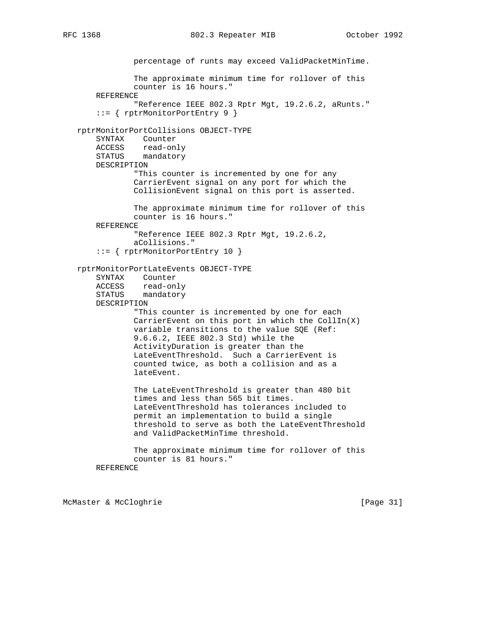percentage of runts may exceed ValidPacketMinTime. The approximate minimum time for rollover of this counter is 16 hours." REFERENCE "Reference IEEE 802.3 Rptr Mgt, 19.2.6.2, aRunts." ::= { rptrMonitorPortEntry 9 } rptrMonitorPortCollisions OBJECT-TYPE SYNTAX Counter ACCESS read-only STATUS mandatory DESCRIPTION "This counter is incremented by one for any CarrierEvent signal on any port for which the CollisionEvent signal on this port is asserted. The approximate minimum time for rollover of this counter is 16 hours." REFERENCE "Reference IEEE 802.3 Rptr Mgt, 19.2.6.2, aCollisions." ::= { rptrMonitorPortEntry 10 } rptrMonitorPortLateEvents OBJECT-TYPE SYNTAX Counter ACCESS read-only STATUS mandatory DESCRIPTION "This counter is incremented by one for each CarrierEvent on this port in which the CollIn(X) variable transitions to the value SQE (Ref: 9.6.6.2, IEEE 802.3 Std) while the ActivityDuration is greater than the LateEventThreshold. Such a CarrierEvent is counted twice, as both a collision and as a lateEvent. The LateEventThreshold is greater than 480 bit times and less than 565 bit times. LateEventThreshold has tolerances included to permit an implementation to build a single threshold to serve as both the LateEventThreshold and ValidPacketMinTime threshold. The approximate minimum time for rollover of this counter is 81 hours." REFERENCE

McMaster & McCloghrie **Exercise Exercise Exercise** [Page 31]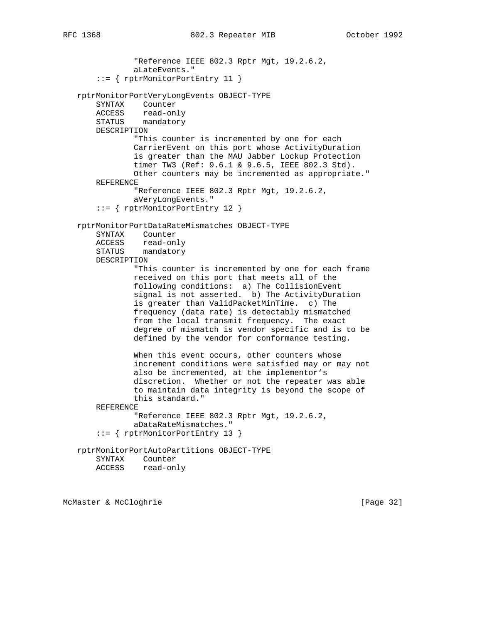```
 "Reference IEEE 802.3 Rptr Mgt, 19.2.6.2,
             aLateEvents."
     ::= { rptrMonitorPortEntry 11 }
 rptrMonitorPortVeryLongEvents OBJECT-TYPE
     SYNTAX Counter
     ACCESS read-only
     STATUS mandatory
    DESCRIPTION
             "This counter is incremented by one for each
             CarrierEvent on this port whose ActivityDuration
             is greater than the MAU Jabber Lockup Protection
             timer TW3 (Ref: 9.6.1 & 9.6.5, IEEE 802.3 Std).
             Other counters may be incremented as appropriate."
     REFERENCE
             "Reference IEEE 802.3 Rptr Mgt, 19.2.6.2,
             aVeryLongEvents."
     ::= { rptrMonitorPortEntry 12 }
 rptrMonitorPortDataRateMismatches OBJECT-TYPE
     SYNTAX Counter
     ACCESS read-only
    STATUS mandatory
    DESCRIPTION
             "This counter is incremented by one for each frame
             received on this port that meets all of the
             following conditions: a) The CollisionEvent
             signal is not asserted. b) The ActivityDuration
             is greater than ValidPacketMinTime. c) The
             frequency (data rate) is detectably mismatched
             from the local transmit frequency. The exact
             degree of mismatch is vendor specific and is to be
             defined by the vendor for conformance testing.
            When this event occurs, other counters whose
             increment conditions were satisfied may or may not
             also be incremented, at the implementor's
             discretion. Whether or not the repeater was able
             to maintain data integrity is beyond the scope of
             this standard."
    REFERENCE
             "Reference IEEE 802.3 Rptr Mgt, 19.2.6.2,
             aDataRateMismatches."
     ::= { rptrMonitorPortEntry 13 }
 rptrMonitorPortAutoPartitions OBJECT-TYPE
    SYNTAX Counter
    ACCESS read-only
```
McMaster & McCloghrie **Exercise 22** and McMaster & McCloghrie **[Page 32]**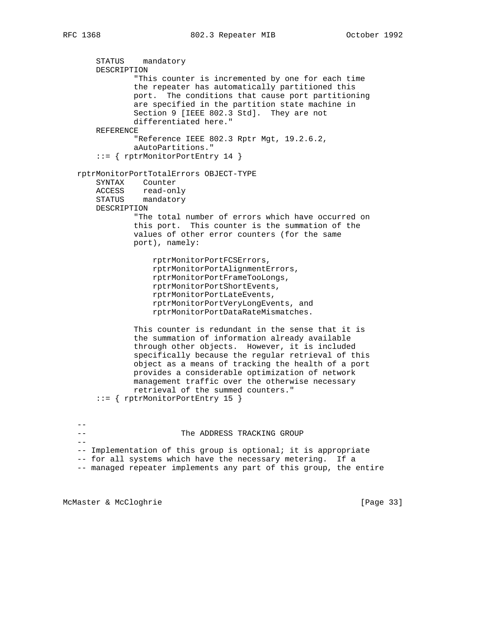STATUS mandatory DESCRIPTION "This counter is incremented by one for each time the repeater has automatically partitioned this port. The conditions that cause port partitioning are specified in the partition state machine in Section 9 [IEEE 802.3 Std]. They are not differentiated here." REFERENCE "Reference IEEE 802.3 Rptr Mgt, 19.2.6.2, aAutoPartitions." ::= { rptrMonitorPortEntry 14 } rptrMonitorPortTotalErrors OBJECT-TYPE SYNTAX Counter ACCESS read-only STATUS mandatory DESCRIPTION "The total number of errors which have occurred on this port. This counter is the summation of the values of other error counters (for the same port), namely: rptrMonitorPortFCSErrors, rptrMonitorPortAlignmentErrors, rptrMonitorPortFrameTooLongs, rptrMonitorPortShortEvents, rptrMonitorPortLateEvents, rptrMonitorPortVeryLongEvents, and rptrMonitorPortDataRateMismatches. This counter is redundant in the sense that it is the summation of information already available through other objects. However, it is included specifically because the regular retrieval of this object as a means of tracking the health of a port provides a considerable optimization of network management traffic over the otherwise necessary retrieval of the summed counters." ::= { rptrMonitorPortEntry 15 }  $-$  -- The ADDRESS TRACKING GROUP  $- -$  -- Implementation of this group is optional; it is appropriate -- for all systems which have the necessary metering. If a

-- managed repeater implements any part of this group, the entire

McMaster & McCloghrie **Exercise Exercise Exercise (Page 33**)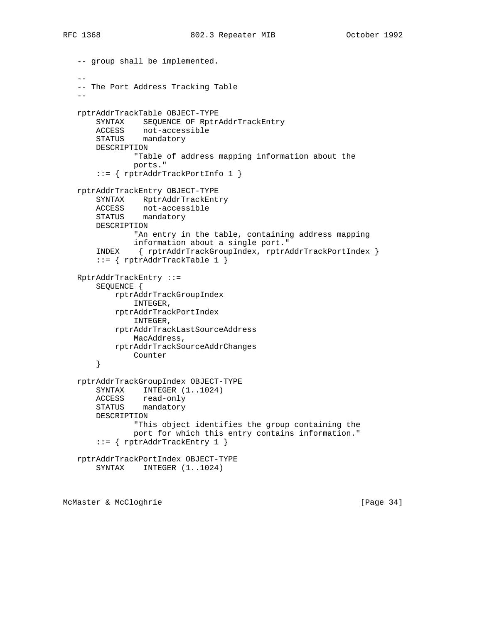```
 -- group shall be implemented.
- -- The Port Address Tracking Table
 --
   rptrAddrTrackTable OBJECT-TYPE
       SYNTAX SEQUENCE OF RptrAddrTrackEntry
       ACCESS not-accessible
       STATUS mandatory
       DESCRIPTION
                "Table of address mapping information about the
               ports."
        ::= { rptrAddrTrackPortInfo 1 }
   rptrAddrTrackEntry OBJECT-TYPE
       SYNTAX RptrAddrTrackEntry
       ACCESS not-accessible
       STATUS mandatory
       DESCRIPTION
               "An entry in the table, containing address mapping
               information about a single port."
       INDEX { rptrAddrTrackGroupIndex, rptrAddrTrackPortIndex }
       ::= { rptrAddrTrackTable 1 }
   RptrAddrTrackEntry ::=
       SEQUENCE {
           rptrAddrTrackGroupIndex
               INTEGER,
           rptrAddrTrackPortIndex
               INTEGER,
           rptrAddrTrackLastSourceAddress
               MacAddress,
           rptrAddrTrackSourceAddrChanges
               Counter
       }
   rptrAddrTrackGroupIndex OBJECT-TYPE
       SYNTAX INTEGER (1..1024)
       ACCESS read-only
       STATUS mandatory
       DESCRIPTION
                "This object identifies the group containing the
                port for which this entry contains information."
        ::= { rptrAddrTrackEntry 1 }
   rptrAddrTrackPortIndex OBJECT-TYPE
       SYNTAX INTEGER (1..1024)
```
McMaster & McCloghrie **Exercise 24** and McMaster & McCloghrie **[Page 34]**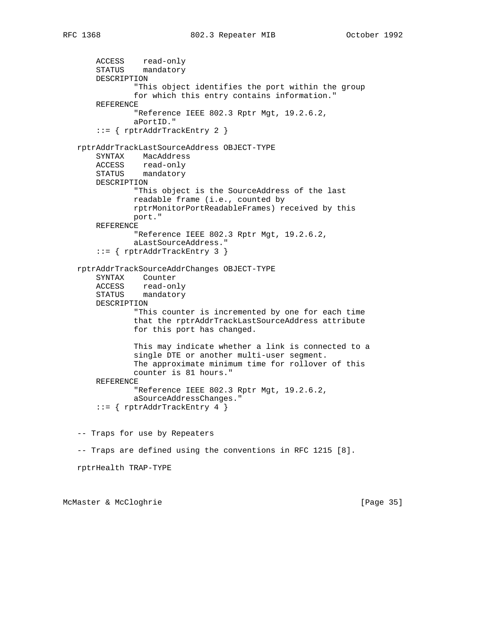ACCESS read-only STATUS mandatory DESCRIPTION "This object identifies the port within the group for which this entry contains information." REFERENCE "Reference IEEE 802.3 Rptr Mgt, 19.2.6.2, aPortID." ::= { rptrAddrTrackEntry 2 } rptrAddrTrackLastSourceAddress OBJECT-TYPE SYNTAX MacAddress ACCESS read-only STATUS mandatory DESCRIPTION "This object is the SourceAddress of the last readable frame (i.e., counted by rptrMonitorPortReadableFrames) received by this port." REFERENCE "Reference IEEE 802.3 Rptr Mgt, 19.2.6.2, aLastSourceAddress." ::= { rptrAddrTrackEntry 3 } rptrAddrTrackSourceAddrChanges OBJECT-TYPE SYNTAX Counter ACCESS read-only STATUS mandatory DESCRIPTION "This counter is incremented by one for each time that the rptrAddrTrackLastSourceAddress attribute for this port has changed. This may indicate whether a link is connected to a single DTE or another multi-user segment. The approximate minimum time for rollover of this counter is 81 hours." REFERENCE "Reference IEEE 802.3 Rptr Mgt, 19.2.6.2, aSourceAddressChanges." ::= { rptrAddrTrackEntry 4 } -- Traps for use by Repeaters -- Traps are defined using the conventions in RFC 1215 [8]. rptrHealth TRAP-TYPE

McMaster & McCloghrie **bluestion (Except 1998)** [Page 35]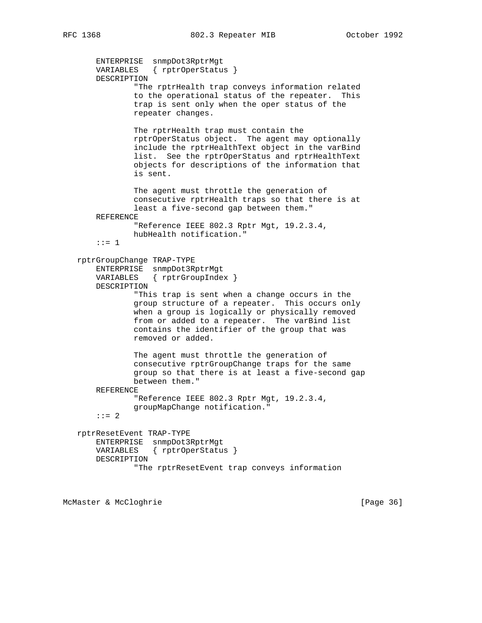```
 ENTERPRISE snmpDot3RptrMgt
     VARIABLES { rptrOperStatus }
     DESCRIPTION
             "The rptrHealth trap conveys information related
             to the operational status of the repeater. This
             trap is sent only when the oper status of the
             repeater changes.
             The rptrHealth trap must contain the
             rptrOperStatus object. The agent may optionally
             include the rptrHealthText object in the varBind
             list. See the rptrOperStatus and rptrHealthText
             objects for descriptions of the information that
             is sent.
             The agent must throttle the generation of
             consecutive rptrHealth traps so that there is at
             least a five-second gap between them."
     REFERENCE
             "Reference IEEE 802.3 Rptr Mgt, 19.2.3.4,
            hubHealth notification."
     ::= 1
 rptrGroupChange TRAP-TYPE
     ENTERPRISE snmpDot3RptrMgt
     VARIABLES { rptrGroupIndex }
    DESCRIPTION
             "This trap is sent when a change occurs in the
             group structure of a repeater. This occurs only
             when a group is logically or physically removed
             from or added to a repeater. The varBind list
             contains the identifier of the group that was
             removed or added.
             The agent must throttle the generation of
             consecutive rptrGroupChange traps for the same
             group so that there is at least a five-second gap
             between them."
     REFERENCE
             "Reference IEEE 802.3 Rptr Mgt, 19.2.3.4,
             groupMapChange notification."
    ::= 2
 rptrResetEvent TRAP-TYPE
    ENTERPRISE snmpDot3RptrMgt
    VARIABLES { rptrOperStatus }
    DESCRIPTION
             "The rptrResetEvent trap conveys information
```
McMaster & McCloghrie **bluestion (Exception 1994)** [Page 36]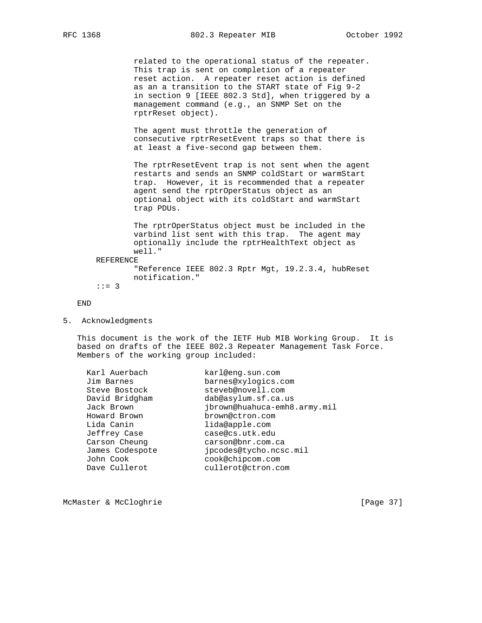related to the operational status of the repeater. This trap is sent on completion of a repeater reset action. A repeater reset action is defined as an a transition to the START state of Fig 9-2 in section 9 [IEEE 802.3 Std], when triggered by a management command (e.g., an SNMP Set on the rptrReset object).

 The agent must throttle the generation of consecutive rptrResetEvent traps so that there is at least a five-second gap between them.

 The rptrResetEvent trap is not sent when the agent restarts and sends an SNMP coldStart or warmStart trap. However, it is recommended that a repeater agent send the rptrOperStatus object as an optional object with its coldStart and warmStart trap PDUs.

 The rptrOperStatus object must be included in the varbind list sent with this trap. The agent may optionally include the rptrHealthText object as well."

REFERENCE

 "Reference IEEE 802.3 Rptr Mgt, 19.2.3.4, hubReset notification."

::= 3

# END

5. Acknowledgments

 This document is the work of the IETF Hub MIB Working Group. It is based on drafts of the IEEE 802.3 Repeater Management Task Force. Members of the working group included:

| Karl Auerbach   | karl@enq.sun.com             |
|-----------------|------------------------------|
| Jim Barnes      | barnes@xylogics.com          |
| Steve Bostock   | steveb@novell.com            |
| David Bridgham  | dab@asylum.sf.ca.us          |
| Jack Brown      | jbrown@huahuca-emh8.army.mil |
| Howard Brown    | brown@ctron.com              |
| Lida Canin      | lida@apple.com               |
| Jeffrey Case    | case@cs.utk.edu              |
| Carson Cheung   | carson@bnr.com.ca            |
| James Codespote | jpcodes@tycho.ncsc.mil       |
| John Cook       | cook@chipcom.com             |
| Dave Cullerot   | cullerot@ctron.com           |
|                 |                              |

McMaster & McCloghrie **bluestion (Except 1998)** [Page 37]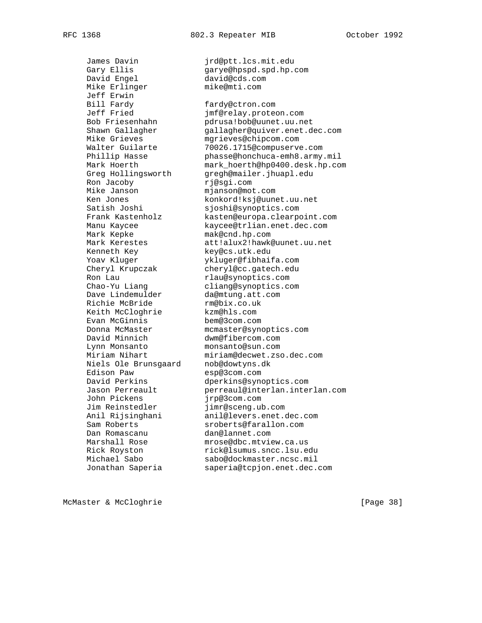David Engel david@cds.com Mike Erlinger mike@mti.com Jeff Erwin Ron Jacoby https://www.rj@sgi.com Mike Janson mjanson@mot.com Mark Kepke mak@cnd.hp.com Kenneth Key key@cs.utk.edu Ron Lau and rlau@synoptics.com Dave Lindemulder <a>
da@mtung.att.com Richie McBride rm@bix.co.uk Keith McCloghrie kzm@hls.com Evan McGinnis bem@3com.com David Minnich dwm@fibercom.com Lynn Monsanto monsanto@sun.com Niels Ole Brunsgaard nob@dowtyns.dk Edison Paw esp@3com.com John Pickens jrp@3com.com Jim Reinstedler jimr@sceng.ub.com Dan Romascanu dan@lannet.com

 James Davin jrd@ptt.lcs.mit.edu gary e@hpspd.spd.hp.com fardy@ctron.com Jeff Fried jmf@relay.proteon.com Bob Friesenhahn pdrusa!bob@uunet.uu.net Shawn Gallagher gallagher@quiver.enet.dec.com Mike Grieves mgrieves@chipcom.com Walter Guilarte 70026.1715@compuserve.com Phillip Hasse phasse@honchuca-emh8.army.mil Mark Hoerth mark\_hoerth@hp0400.desk.hp.com Greg Hollingsworth gregh@mailer.jhuapl.edu Ken Jones konkord!ksj@uunet.uu.net Satish Joshi sjoshi@synoptics.com Frank Kastenholz kasten@europa.clearpoint.com Manu Kaycee kaycee@trlian.enet.dec.com Mark Kerestes att!alux2!hawk@uunet.uu.net Yoav Kluger ykluger@fibhaifa.com Cheryl Krupczak cheryl@cc.gatech.edu Chao-Yu Liang cliang@synoptics.com Donna McMaster mcmaster@synoptics.com Miriam Nihart miriam@decwet.zso.dec.com David Perkins dperkins@synoptics.com Jason Perreault perreaul@interlan.interlan.com Anil Rijsinghani anil@levers.enet.dec.com Sam Roberts sroberts@farallon.com Marshall Rose mrose@dbc.mtview.ca.us Rick Royston rick@lsumus.sncc.lsu.edu Michael Sabo sabo@dockmaster.ncsc.mil Jonathan Saperia saperia@tcpjon.enet.dec.com

McMaster & McCloghrie **Exercía e a material e a material de la constantidad de la constantida de la constantida**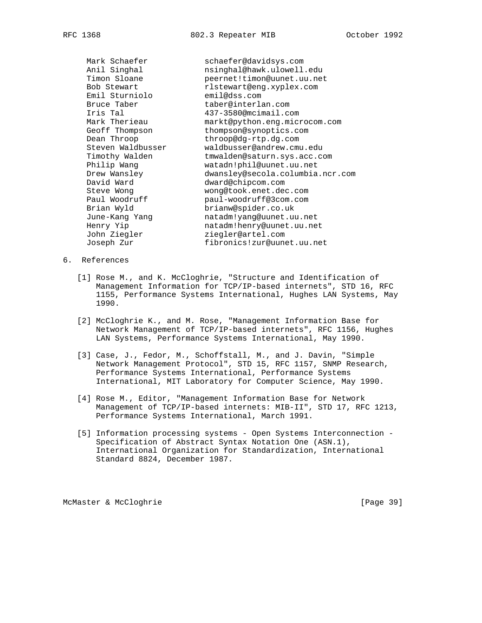| Mark Schaefer     | schaefer@davidsys.com            |
|-------------------|----------------------------------|
| Anil Singhal      | nsinghal@hawk.ulowell.edu        |
| Timon Sloane      | peernet!timon@uunet.uu.net       |
| Bob Stewart       | rlstewart@eng.xyplex.com         |
| Emil Sturniolo    | emil@dss.com                     |
| Bruce Taber       | taber@interlan.com               |
| Iris Tal          | 437-3580@mcimail.com             |
| Mark Therieau     | markt@python.eng.microcom.com    |
| Geoff Thompson    | thompson@synoptics.com           |
| Dean Throop       | throop@dg-rtp.dg.com             |
| Steven Waldbusser | waldbusser@andrew.cmu.edu        |
| Timothy Walden    | tmwalden@saturn.sys.acc.com      |
| Philip Wang       | watadn!phil@uunet.uu.net         |
| Drew Wansley      | dwansley@secola.columbia.ncr.com |
| David Ward        | dward@chipcom.com                |
| Steve Wong        | wong@took.enet.dec.com           |
| Paul Woodruff     | paul-woodruff@3com.com           |
| Brian Wyld        | brianw@spider.co.uk              |
| June-Kang Yang    | natadm!yanq@uunet.uu.net         |
| Henry Yip         | natadm!henry@uunet.uu.net        |
| John Ziegler      | ziegler@artel.com                |
| Joseph Zur        | fibronics!zur@uunet.uu.net       |
|                   |                                  |

- 6. References
	- [1] Rose M., and K. McCloghrie, "Structure and Identification of Management Information for TCP/IP-based internets", STD 16, RFC 1155, Performance Systems International, Hughes LAN Systems, May 1990.
	- [2] McCloghrie K., and M. Rose, "Management Information Base for Network Management of TCP/IP-based internets", RFC 1156, Hughes LAN Systems, Performance Systems International, May 1990.
	- [3] Case, J., Fedor, M., Schoffstall, M., and J. Davin, "Simple Network Management Protocol", STD 15, RFC 1157, SNMP Research, Performance Systems International, Performance Systems International, MIT Laboratory for Computer Science, May 1990.
	- [4] Rose M., Editor, "Management Information Base for Network Management of TCP/IP-based internets: MIB-II", STD 17, RFC 1213, Performance Systems International, March 1991.
	- [5] Information processing systems Open Systems Interconnection Specification of Abstract Syntax Notation One (ASN.1), International Organization for Standardization, International Standard 8824, December 1987.

McMaster & McCloghrie **bluestion (Except 1994)** [Page 39]